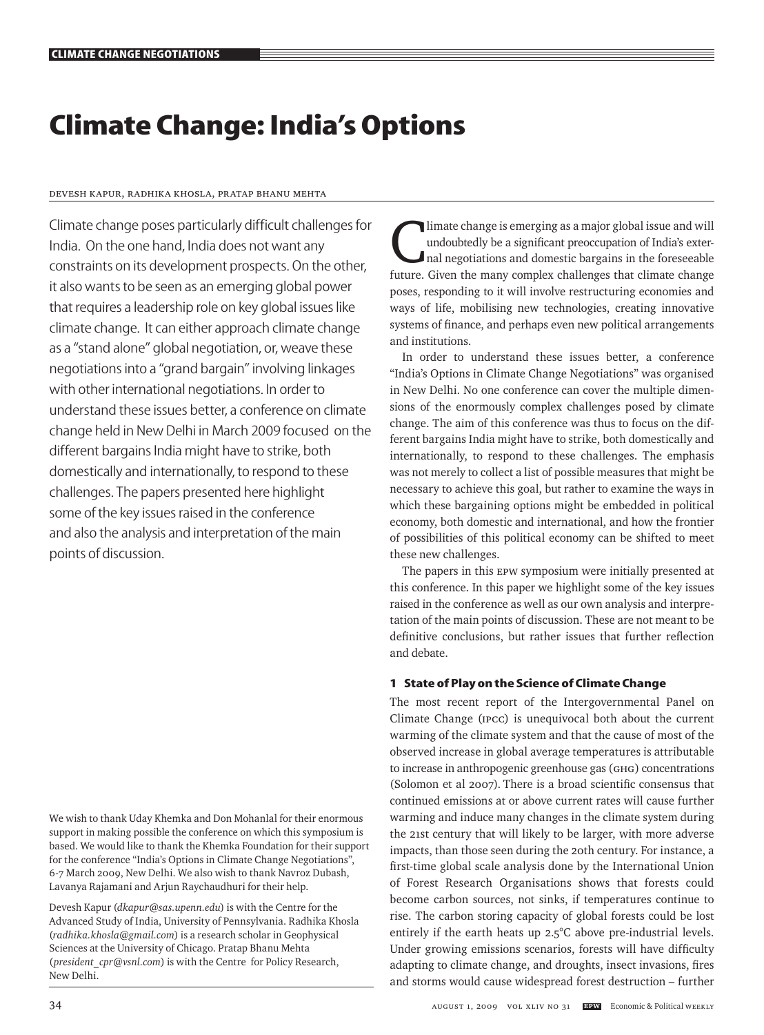# **Climate Change: India's Options**

## Devesh Kapur, Radhika Khosla, Pratap Bhanu Mehta

Climate change poses particularly difficult challenges for India. On the one hand, India does not want any constraints on its development prospects. On the other, it also wants to be seen as an emerging global power that requires a leadership role on key global issues like climate change. It can either approach climate change as a "stand alone" global negotiation, or, weave these negotiations into a "grand bargain" involving linkages with other international negotiations. In order to understand these issues better, a conference on climate change held in New Delhi in March 2009 focused on the different bargains India might have to strike, both domestically and internationally, to respond to these challenges. The papers presented here highlight some of the key issues raised in the conference and also the analysis and interpretation of the main points of discussion.

We wish to thank Uday Khemka and Don Mohanlal for their enormous support in making possible the conference on which this symposium is based. We would like to thank the Khemka Foundation for their support for the conference "India's Options in Climate Change Negotiations", 6-7 March 2009, New Delhi. We also wish to thank Navroz Dubash, Lavanya Rajamani and Arjun Raychaudhuri for their help.

Devesh Kapur (*dkapur@sas.upenn.edu*) is with the Centre for the Advanced Study of India, University of Pennsylvania. Radhika Khosla (*radhika.khosla@gmail.com*) is a research scholar in Geophysical Sciences at the University of Chicago. Pratap Bhanu Mehta (*president\_cpr@vsnl.com*) is with the Centre for Policy Research, New Delhi.

Climate change is emerging as a major global issue and will<br>undoubtedly be a significant preoccupation of India's exter-<br>nal negotiations and domestic bargains in the foreseeable<br>future. Given the many complex obellances t undoubtedly be a significant preoccupation of India's exterfuture. Given the many complex challenges that climate change poses, responding to it will involve restructuring economies and ways of life, mobilising new technologies, creating innovative systems of finance, and perhaps even new political arrangements and institutions.

In order to understand these issues better, a conference "India's Options in Climate Change Negotiations" was organised in New Delhi. No one conference can cover the multiple dimensions of the enormously complex challenges posed by climate change. The aim of this conference was thus to focus on the different bargains India might have to strike, both domestically and internationally, to respond to these challenges. The emphasis was not merely to collect a list of possible measures that might be necessary to achieve this goal, but rather to examine the ways in which these bargaining options might be embedded in political economy, both domestic and international, and how the frontier of possibilities of this political economy can be shifted to meet these new challenges.

The papers in this EPW symposium were initially presented at this conference. In this paper we highlight some of the key issues raised in the conference as well as our own analysis and interpretation of the main points of discussion. These are not meant to be definitive conclusions, but rather issues that further reflection and debate.

## **1 State of Play on the Science of Climate Change**

The most recent report of the Intergovernmental Panel on Climate Change (IPCC) is unequivocal both about the current warming of the climate system and that the cause of most of the observed increase in global average temperatures is attributable to increase in anthropogenic greenhouse gas (GHG) concentrations (Solomon et al 2007). There is a broad scientific consensus that continued emissions at or above current rates will cause further warming and induce many changes in the climate system during the 21st century that will likely to be larger, with more adverse impacts, than those seen during the 20th century. For instance, a first-time global scale analysis done by the International Union of Forest Research Organisations shows that forests could become carbon sources, not sinks, if temperatures continue to rise. The carbon storing capacity of global forests could be lost entirely if the earth heats up 2.5°C above pre-industrial levels. Under growing emissions scenarios, forests will have difficulty adapting to climate change, and droughts, insect invasions, fires and storms would cause widespread forest destruction – further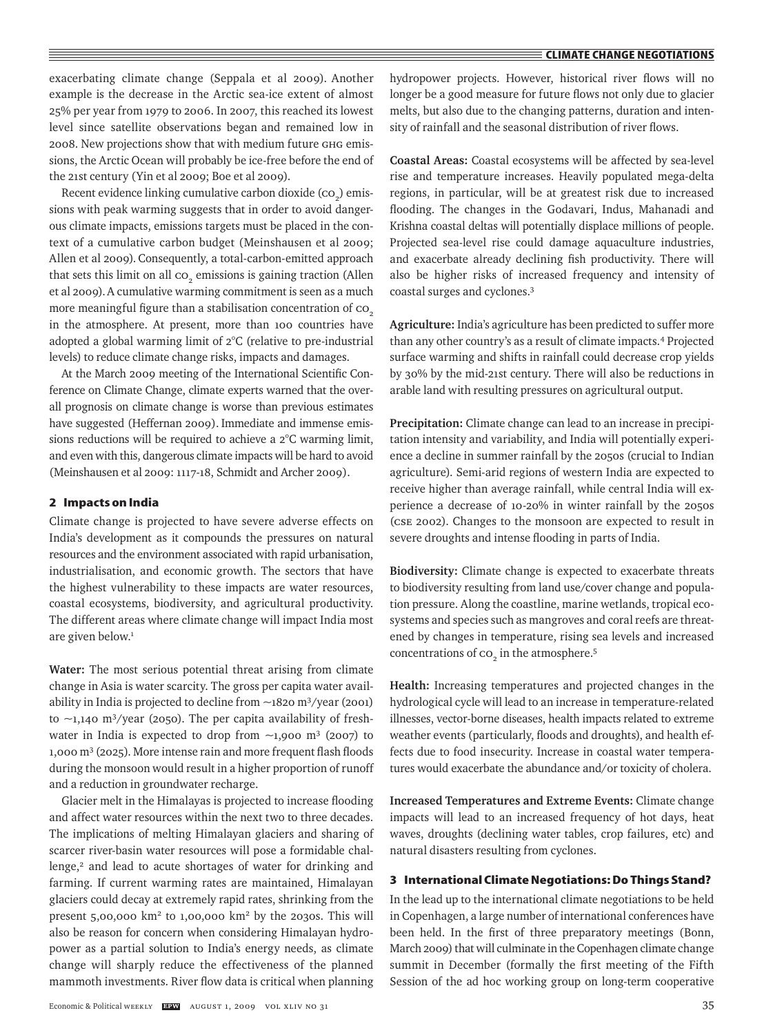exacerbating climate change (Seppala et al 2009). Another example is the decrease in the Arctic sea-ice extent of almost 25% per year from 1979 to 2006. In 2007, this reached its lowest level since satellite observations began and remained low in 2008. New projections show that with medium future GHG emissions, the Arctic Ocean will probably be ice-free before the end of the 21st century (Yin et al 2009; Boe et al 2009).

Recent evidence linking cumulative carbon dioxide  $(\text{co}_2)$  emissions with peak warming suggests that in order to avoid dangerous climate impacts, emissions targets must be placed in the context of a cumulative carbon budget (Meinshausen et al 2009; Allen et al 2009). Consequently, a total-carbon-emitted approach that sets this limit on all  $\mathrm{co}_2$  emissions is gaining traction (Allen et al 2009).A cumulative warming commitment is seen as a much more meaningful figure than a stabilisation concentration of co<sub>2</sub> in the atmosphere. At present, more than 100 countries have adopted a global warming limit of 2°C (relative to pre-industrial levels) to reduce climate change risks, impacts and damages.

At the March 2009 meeting of the International Scientific Conference on Climate Change, climate experts warned that the overall prognosis on climate change is worse than previous estimates have suggested (Heffernan 2009). Immediate and immense emissions reductions will be required to achieve a 2°C warming limit, and even with this, dangerous climate impacts will be hard to avoid (Meinshausen et al 2009: 1117-18, Schmidt and Archer 2009).

#### **2 Impacts on India**

Climate change is projected to have severe adverse effects on India's development as it compounds the pressures on natural resources and the environment associated with rapid urbanisation, industrialisation, and economic growth. The sectors that have the highest vulnerability to these impacts are water resources, coastal ecosystems, biodiversity, and agricultural productivity. The different areas where climate change will impact India most are given below.<sup>1</sup>

**Water:** The most serious potential threat arising from climate change in Asia is water scarcity. The gross per capita water availability in India is projected to decline from ~1820 m3/year (2001) to  $\sim$ 1,140 m<sup>3</sup>/year (2050). The per capita availability of freshwater in India is expected to drop from  $\sim$ 1,900 m<sup>3</sup> (2007) to 1,000 m3 (2025). More intense rain and more frequent flash floods during the monsoon would result in a higher proportion of runoff and a reduction in groundwater recharge.

Glacier melt in the Himalayas is projected to increase flooding and affect water resources within the next two to three decades. The implications of melting Himalayan glaciers and sharing of scarcer river-basin water resources will pose a formidable challenge,<sup>2</sup> and lead to acute shortages of water for drinking and farming. If current warming rates are maintained, Himalayan glaciers could decay at extremely rapid rates, shrinking from the present  $5,00,000$  km<sup>2</sup> to  $1,00,000$  km<sup>2</sup> by the 2030s. This will also be reason for concern when considering Himalayan hydropower as a partial solution to India's energy needs, as climate change will sharply reduce the effectiveness of the planned mammoth investments. River flow data is critical when planning

hydropower projects. However, historical river flows will no longer be a good measure for future flows not only due to glacier melts, but also due to the changing patterns, duration and intensity of rainfall and the seasonal distribution of river flows.

**Coastal Areas:** Coastal ecosystems will be affected by sea-level rise and temperature increases. Heavily populated mega-delta regions, in particular, will be at greatest risk due to increased flooding. The changes in the Godavari, Indus, Mahanadi and Krishna coastal deltas will potentially displace millions of people. Projected sea-level rise could damage aquaculture industries, and exacerbate already declining fish productivity. There will also be higher risks of increased frequency and intensity of coastal surges and cyclones.3

**Agriculture:** India's agriculture has been predicted to suffer more than any other country's as a result of climate impacts.4 Projected surface warming and shifts in rainfall could decrease crop yields by 30% by the mid-21st century. There will also be reductions in arable land with resulting pressures on agricultural output.

**Precipitation:** Climate change can lead to an increase in precipitation intensity and variability, and India will potentially experience a decline in summer rainfall by the 2050s (crucial to Indian agriculture). Semi-arid regions of western India are expected to receive higher than average rainfall, while central India will experience a decrease of 10-20% in winter rainfall by the 2050s (CSE 2002). Changes to the monsoon are expected to result in severe droughts and intense flooding in parts of India.

**Biodiversity:** Climate change is expected to exacerbate threats to biodiversity resulting from land use/cover change and population pressure. Along the coastline, marine wetlands, tropical ecosystems and species such as mangroves and coral reefs are threatened by changes in temperature, rising sea levels and increased concentrations of  $\text{co}_2$  in the atmosphere.<sup>5</sup>

**Health:** Increasing temperatures and projected changes in the hydrological cycle will lead to an increase in temperature-related illnesses, vector-borne diseases, health impacts related to extreme weather events (particularly, floods and droughts), and health effects due to food insecurity. Increase in coastal water temperatures would exacerbate the abundance and/or toxicity of cholera.

**Increased Temperatures and Extreme Events:** Climate change impacts will lead to an increased frequency of hot days, heat waves, droughts (declining water tables, crop failures, etc) and natural disasters resulting from cyclones.

## **3 International Climate Negotiations: Do Things Stand?**

In the lead up to the international climate negotiations to be held in Copenhagen, a large number of international conferences have been held. In the first of three preparatory meetings (Bonn, March 2009) that will culminate in the Copenhagen climate change summit in December (formally the first meeting of the Fifth Session of the ad hoc working group on long-term cooperative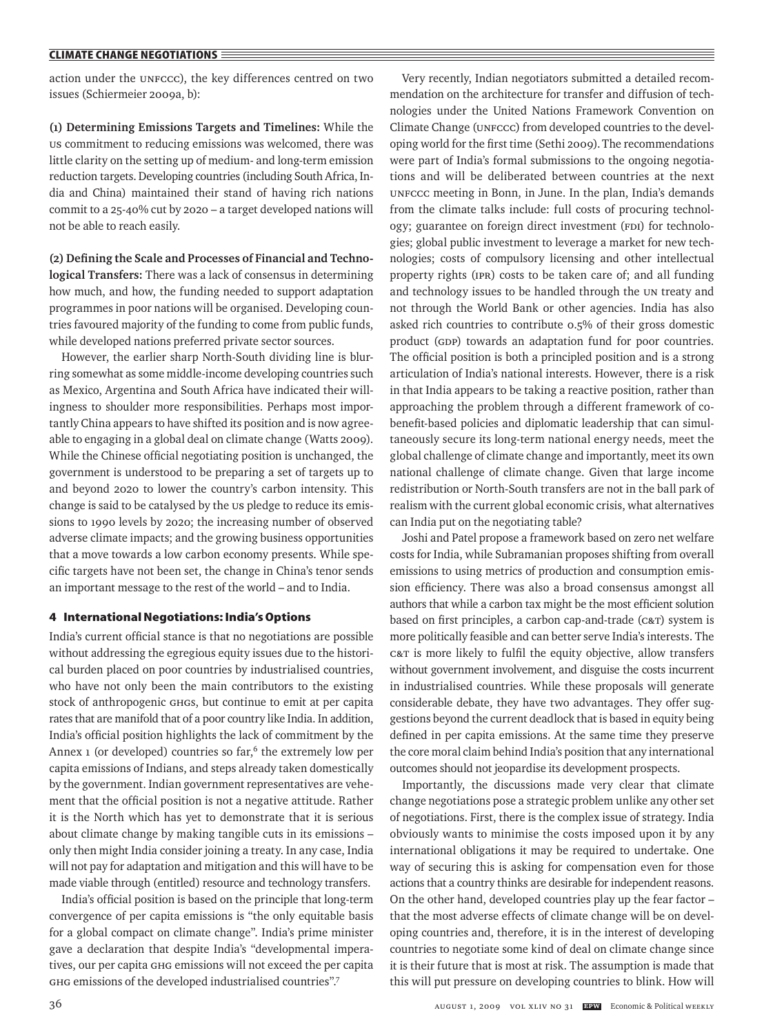action under the UNFCCC), the key differences centred on two issues (Schiermeier 2009a, b):

**(1) Determining Emissions Targets and Timelines:** While the US commitment to reducing emissions was welcomed, there was little clarity on the setting up of medium- and long-term emission reduction targets. Developing countries (including South Africa, India and China) maintained their stand of having rich nations commit to a 25-40% cut by 2020 – a target developed nations will not be able to reach easily.

**(2) Defining the Scale and Processes of Financial and Technological Transfers:** There was a lack of consensus in determining how much, and how, the funding needed to support adaptation programmes in poor nations will be organised. Developing countries favoured majority of the funding to come from public funds, while developed nations preferred private sector sources.

However, the earlier sharp North-South dividing line is blurring somewhat as some middle-income developing countries such as Mexico, Argentina and South Africa have indicated their willingness to shoulder more responsibilities. Perhaps most importantly China appears to have shifted its position and is now agreeable to engaging in a global deal on climate change (Watts 2009). While the Chinese official negotiating position is unchanged, the government is understood to be preparing a set of targets up to and beyond 2020 to lower the country's carbon intensity. This change is said to be catalysed by the us pledge to reduce its emissions to 1990 levels by 2020; the increasing number of observed adverse climate impacts; and the growing business opportunities that a move towards a low carbon economy presents. While specific targets have not been set, the change in China's tenor sends an important message to the rest of the world – and to India.

### **4 International Negotiations: India's Options**

India's current official stance is that no negotiations are possible without addressing the egregious equity issues due to the historical burden placed on poor countries by industrialised countries, who have not only been the main contributors to the existing stock of anthropogenic GHGs, but continue to emit at per capita rates that are manifold that of a poor country like India. In addition, India's official position highlights the lack of commitment by the Annex  $\iota$  (or developed) countries so far,<sup>6</sup> the extremely low per capita emissions of Indians, and steps already taken domestically by the government. Indian government representatives are vehement that the official position is not a negative attitude. Rather it is the North which has yet to demonstrate that it is serious about climate change by making tangible cuts in its emissions – only then might India consider joining a treaty. In any case, India will not pay for adaptation and mitigation and this will have to be made viable through (entitled) resource and technology transfers.

India's official position is based on the principle that long-term convergence of per capita emissions is "the only equitable basis for a global compact on climate change". India's prime minister gave a declaration that despite India's "developmental imperatives, our per capita GHG emissions will not exceed the per capita GHG emissions of the developed industrialised countries".7

Very recently, Indian negotiators submitted a detailed recommendation on the architecture for transfer and diffusion of technologies under the United Nations Framework Convention on Climate Change (UNFCCC) from developed countries to the developing world for the first time (Sethi 2009).The recommendations were part of India's formal submissions to the ongoing negotiations and will be deliberated between countries at the next UNFCCC meeting in Bonn, in June. In the plan, India's demands from the climate talks include: full costs of procuring technology; guarantee on foreign direct investment (FDI) for technologies; global public investment to leverage a market for new technologies; costs of compulsory licensing and other intellectual property rights (IPR) costs to be taken care of; and all funding and technology issues to be handled through the UN treaty and not through the World Bank or other agencies. India has also asked rich countries to contribute 0.5% of their gross domestic product (GDP) towards an adaptation fund for poor countries. The official position is both a principled position and is a strong articulation of India's national interests. However, there is a risk in that India appears to be taking a reactive position, rather than approaching the problem through a different framework of cobenefit-based policies and diplomatic leadership that can simultaneously secure its long-term national energy needs, meet the global challenge of climate change and importantly, meet its own national challenge of climate change. Given that large income redistribution or North-South transfers are not in the ball park of realism with the current global economic crisis, what alternatives can India put on the negotiating table?

Joshi and Patel propose a framework based on zero net welfare costs for India, while Subramanian proposes shifting from overall emissions to using metrics of production and consumption emission efficiency. There was also a broad consensus amongst all authors that while a carbon tax might be the most efficient solution based on first principles, a carbon cap-and-trade (C&T) system is more politically feasible and can better serve India's interests. The C&T is more likely to fulfil the equity objective, allow transfers without government involvement, and disguise the costs incurrent in industrialised countries. While these proposals will generate considerable debate, they have two advantages. They offer suggestions beyond the current deadlock that is based in equity being defined in per capita emissions. At the same time they preserve the core moral claim behind India's position that any international outcomes should not jeopardise its development prospects.

Importantly, the discussions made very clear that climate change negotiations pose a strategic problem unlike any other set of negotiations. First, there is the complex issue of strategy. India obviously wants to minimise the costs imposed upon it by any international obligations it may be required to undertake. One way of securing this is asking for compensation even for those actions that a country thinks are desirable for independent reasons. On the other hand, developed countries play up the fear factor – that the most adverse effects of climate change will be on developing countries and, therefore, it is in the interest of developing countries to negotiate some kind of deal on climate change since it is their future that is most at risk. The assumption is made that this will put pressure on developing countries to blink. How will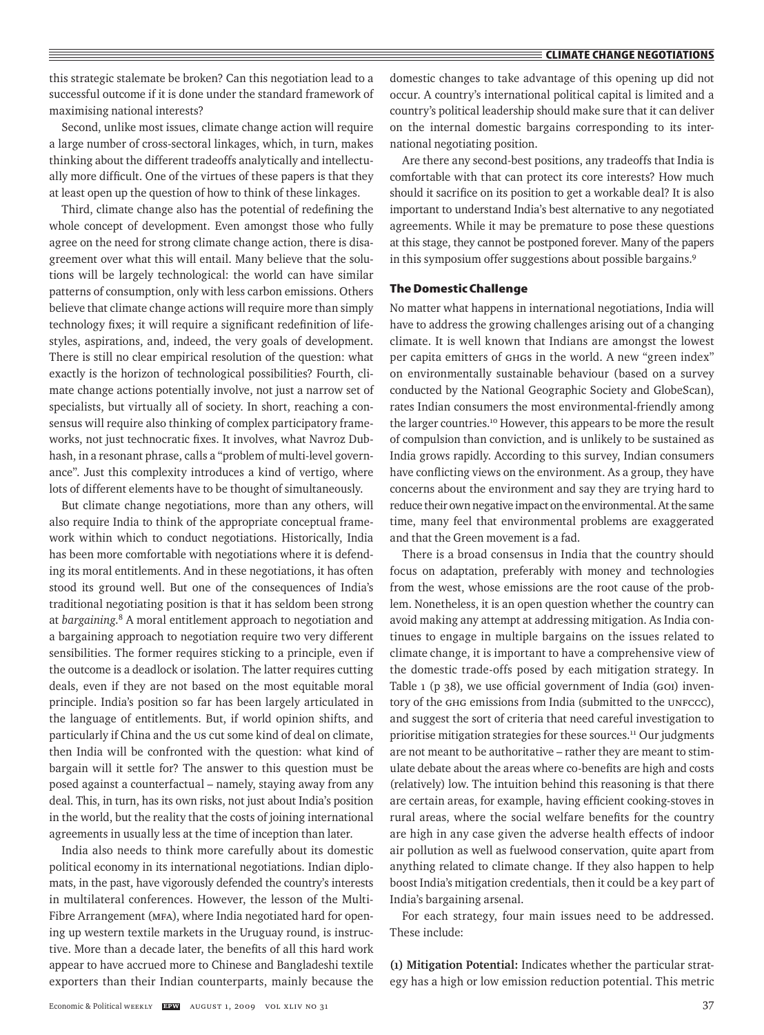this strategic stalemate be broken? Can this negotiation lead to a successful outcome if it is done under the standard framework of maximising national interests?

Second, unlike most issues, climate change action will require a large number of cross-sectoral linkages, which, in turn, makes thinking about the different tradeoffs analytically and intellectually more difficult. One of the virtues of these papers is that they at least open up the question of how to think of these linkages.

Third, climate change also has the potential of redefining the whole concept of development. Even amongst those who fully agree on the need for strong climate change action, there is disagreement over what this will entail. Many believe that the solutions will be largely technological: the world can have similar patterns of consumption, only with less carbon emissions. Others believe that climate change actions will require more than simply technology fixes; it will require a significant redefinition of lifestyles, aspirations, and, indeed, the very goals of development. There is still no clear empirical resolution of the question: what exactly is the horizon of technological possibilities? Fourth, climate change actions potentially involve, not just a narrow set of specialists, but virtually all of society. In short, reaching a consensus will require also thinking of complex participatory frameworks, not just technocratic fixes. It involves, what Navroz Dubhash, in a resonant phrase, calls a "problem of multi-level governance". Just this complexity introduces a kind of vertigo, where lots of different elements have to be thought of simultaneously.

But climate change negotiations, more than any others, will also require India to think of the appropriate conceptual framework within which to conduct negotiations. Historically, India has been more comfortable with negotiations where it is defending its moral entitlements. And in these negotiations, it has often stood its ground well. But one of the consequences of India's traditional negotiating position is that it has seldom been strong at *bargaining*. <sup>8</sup> A moral entitlement approach to negotiation and a bargaining approach to negotiation require two very different sensibilities. The former requires sticking to a principle, even if the outcome is a deadlock or isolation. The latter requires cutting deals, even if they are not based on the most equitable moral principle. India's position so far has been largely articulated in the language of entitlements. But, if world opinion shifts, and particularly if China and the US cut some kind of deal on climate, then India will be confronted with the question: what kind of bargain will it settle for? The answer to this question must be posed against a counterfactual – namely, staying away from any deal. This, in turn, has its own risks, not just about India's position in the world, but the reality that the costs of joining international agreements in usually less at the time of inception than later.

India also needs to think more carefully about its domestic political economy in its international negotiations. Indian diplomats, in the past, have vigorously defended the country's interests in multilateral conferences. However, the lesson of the Multi-Fibre Arrangement (MFA), where India negotiated hard for opening up western textile markets in the Uruguay round, is instructive. More than a decade later, the benefits of all this hard work appear to have accrued more to Chinese and Bangladeshi textile exporters than their Indian counterparts, mainly because the domestic changes to take advantage of this opening up did not occur. A country's international political capital is limited and a country's political leadership should make sure that it can deliver on the internal domestic bargains corresponding to its international negotiating position.

Are there any second-best positions, any tradeoffs that India is comfortable with that can protect its core interests? How much should it sacrifice on its position to get a workable deal? It is also important to understand India's best alternative to any negotiated agreements. While it may be premature to pose these questions at this stage, they cannot be postponed forever. Many of the papers in this symposium offer suggestions about possible bargains.<sup>9</sup>

#### **The Domestic Challenge**

No matter what happens in international negotiations, India will have to address the growing challenges arising out of a changing climate. It is well known that Indians are amongst the lowest per capita emitters of GHGs in the world. A new "green index" on environmentally sustainable behaviour (based on a survey conducted by the National Geographic Society and GlobeScan), rates Indian consumers the most environmental-friendly among the larger countries.<sup>10</sup> However, this appears to be more the result of compulsion than conviction, and is unlikely to be sustained as India grows rapidly. According to this survey, Indian consumers have conflicting views on the environment. As a group, they have concerns about the environment and say they are trying hard to reduce their own negative impact on the environmental. At the same time, many feel that environmental problems are exaggerated and that the Green movement is a fad.

There is a broad consensus in India that the country should focus on adaptation, preferably with money and technologies from the west, whose emissions are the root cause of the problem. Nonetheless, it is an open question whether the country can avoid making any attempt at addressing mitigation. As India continues to engage in multiple bargains on the issues related to climate change, it is important to have a comprehensive view of the domestic trade-offs posed by each mitigation strategy. In Table 1 (p 38), we use official government of India (GOI) inventory of the GHG emissions from India (submitted to the UNFCCC), and suggest the sort of criteria that need careful investigation to prioritise mitigation strategies for these sources.<sup>11</sup> Our judgments are not meant to be authoritative – rather they are meant to stimulate debate about the areas where co-benefits are high and costs (relatively) low. The intuition behind this reasoning is that there are certain areas, for example, having efficient cooking-stoves in rural areas, where the social welfare benefits for the country are high in any case given the adverse health effects of indoor air pollution as well as fuelwood conservation, quite apart from anything related to climate change. If they also happen to help boost India's mitigation credentials, then it could be a key part of India's bargaining arsenal.

For each strategy, four main issues need to be addressed. These include:

**(1) Mitigation Potential:** Indicates whether the particular strategy has a high or low emission reduction potential. This metric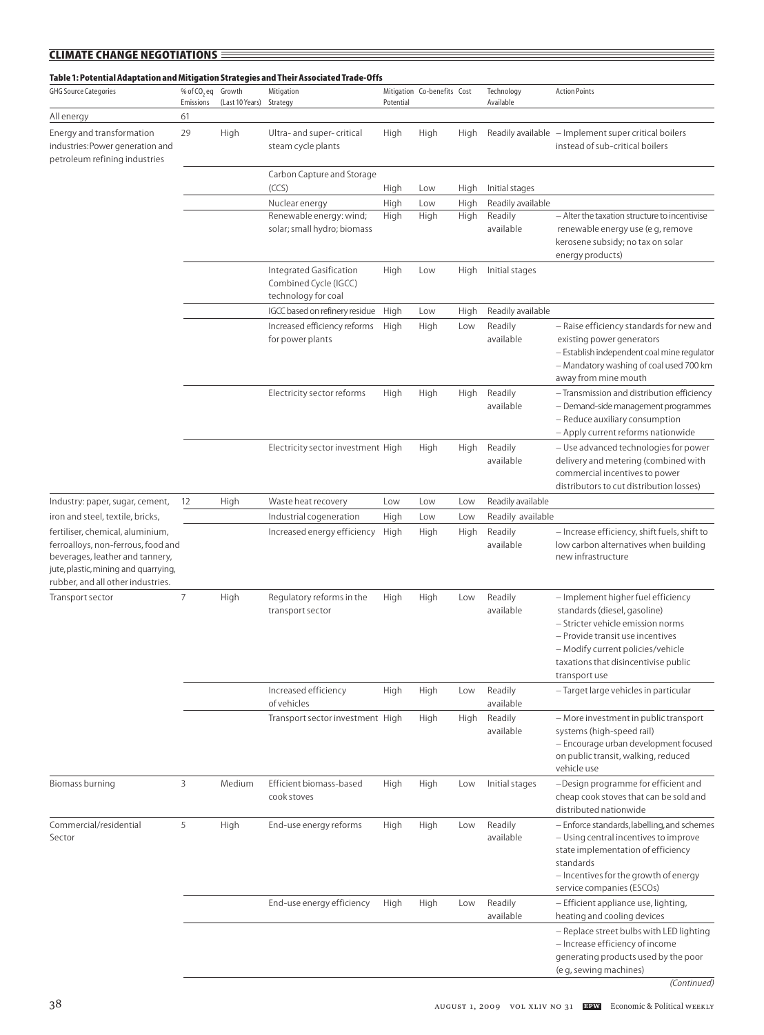| <b>CLIMATE CHANGE NEGOTIATIONS</b>                                                                                                                                                     |                                |                 |                                                                         |           |                             |      |                         |                                                                                                                                                                                                                                           |
|----------------------------------------------------------------------------------------------------------------------------------------------------------------------------------------|--------------------------------|-----------------|-------------------------------------------------------------------------|-----------|-----------------------------|------|-------------------------|-------------------------------------------------------------------------------------------------------------------------------------------------------------------------------------------------------------------------------------------|
| Table 1: Potential Adaptation and Mitigation Strategies and Their Associated Trade-Offs                                                                                                |                                |                 |                                                                         |           |                             |      |                         |                                                                                                                                                                                                                                           |
| <b>GHG Source Categories</b>                                                                                                                                                           | % of CO <sub>2</sub> eq Growth | (Last 10 Years) | Mitigation                                                              |           | Mitigation Co-benefits Cost |      | Technology<br>Available | <b>Action Points</b>                                                                                                                                                                                                                      |
| All energy                                                                                                                                                                             | Emissions<br>61                |                 | Strategy                                                                | Potential |                             |      |                         |                                                                                                                                                                                                                                           |
| Energy and transformation<br>industries: Power generation and<br>petroleum refining industries                                                                                         | 29                             | High            | Ultra- and super- critical<br>steam cycle plants                        | High      | High                        | High |                         | Readily available - Implement super critical boilers<br>instead of sub-critical boilers                                                                                                                                                   |
|                                                                                                                                                                                        |                                |                 | Carbon Capture and Storage                                              |           |                             |      |                         |                                                                                                                                                                                                                                           |
|                                                                                                                                                                                        |                                |                 | (CCS)                                                                   | High      | Low                         | High | Initial stages          |                                                                                                                                                                                                                                           |
|                                                                                                                                                                                        |                                |                 | Nuclear energy                                                          | High      | Low                         | High | Readily available       |                                                                                                                                                                                                                                           |
|                                                                                                                                                                                        |                                |                 | Renewable energy: wind;<br>solar; small hydro; biomass                  | High      | High                        | High | Readily<br>available    | - Alter the taxation structure to incentivise<br>renewable energy use (e g, remove<br>kerosene subsidy; no tax on solar<br>energy products)                                                                                               |
|                                                                                                                                                                                        |                                |                 | Integrated Gasification<br>Combined Cycle (IGCC)<br>technology for coal | High      | Low                         | High | Initial stages          |                                                                                                                                                                                                                                           |
|                                                                                                                                                                                        |                                |                 | IGCC based on refinery residue                                          | High      | Low                         | High | Readily available       |                                                                                                                                                                                                                                           |
|                                                                                                                                                                                        |                                |                 | Increased efficiency reforms<br>for power plants                        | High      | High                        | Low  | Readily<br>available    | - Raise efficiency standards for new and<br>existing power generators<br>- Establish independent coal mine regulator<br>- Mandatory washing of coal used 700 km<br>away from mine mouth                                                   |
|                                                                                                                                                                                        |                                |                 | Electricity sector reforms                                              | High      | High                        | High | Readily<br>available    | - Transmission and distribution efficiency<br>- Demand-side management programmes<br>- Reduce auxiliary consumption<br>- Apply current reforms nationwide                                                                                 |
|                                                                                                                                                                                        |                                |                 | Electricity sector investment High                                      |           | High                        | High | Readily<br>available    | - Use advanced technologies for power<br>delivery and metering (combined with<br>commercial incentives to power<br>distributors to cut distribution losses)                                                                               |
| Industry: paper, sugar, cement,                                                                                                                                                        | 12                             | High            | Waste heat recovery                                                     | Low       | Low                         | Low  | Readily available       |                                                                                                                                                                                                                                           |
| iron and steel, textile, bricks,                                                                                                                                                       |                                |                 | Industrial cogeneration                                                 | High      | Low                         | Low  | Readily available       |                                                                                                                                                                                                                                           |
| fertiliser, chemical, aluminium,<br>ferroalloys, non-ferrous, food and<br>beverages, leather and tannery,<br>jute, plastic, mining and quarrying,<br>rubber, and all other industries. |                                |                 | Increased energy efficiency                                             | High      | High                        | High | Readily<br>available    | - Increase efficiency, shift fuels, shift to<br>low carbon alternatives when building<br>new infrastructure                                                                                                                               |
| Transport sector                                                                                                                                                                       | 7                              | High            | Regulatory reforms in the<br>transport sector                           | High      | High                        | Low  | Readily<br>available    | - Implement higher fuel efficiency<br>standards (diesel, gasoline)<br>- Stricter vehicle emission norms<br>- Provide transit use incentives<br>- Modify current policies/vehicle<br>taxations that disincentivise public<br>transport use |
|                                                                                                                                                                                        |                                |                 | Increased efficiency<br>of vehicles                                     | High      | High                        | Low  | Readily<br>available    | - Target large vehicles in particular                                                                                                                                                                                                     |
|                                                                                                                                                                                        |                                |                 | Transport sector investment High                                        |           | High                        | High | Readily<br>available    | - More investment in public transport<br>systems (high-speed rail)<br>- Encourage urban development focused<br>on public transit, walking, reduced<br>vehicle use                                                                         |
| Biomass burning                                                                                                                                                                        | 3                              | Medium          | Efficient biomass-based<br>cook stoves                                  | High      | High                        | Low  | Initial stages          | -Design programme for efficient and<br>cheap cook stoves that can be sold and<br>distributed nationwide                                                                                                                                   |
| Commercial/residential<br>Sector                                                                                                                                                       | 5                              | High            | End-use energy reforms                                                  | High      | High                        | Low  | Readily<br>available    | - Enforce standards, labelling, and schemes<br>- Using central incentives to improve<br>state implementation of efficiency<br>standards<br>- Incentives for the growth of energy<br>service companies (ESCOs)                             |
|                                                                                                                                                                                        |                                |                 | End-use energy efficiency                                               | High      | High                        | Low  | Readily<br>available    | - Efficient appliance use, lighting,<br>heating and cooling devices                                                                                                                                                                       |
|                                                                                                                                                                                        |                                |                 |                                                                         |           |                             |      |                         | - Replace street bulbs with LED lighting<br>- Increase efficiency of income<br>generating products used by the poor<br>(e g, sewing machines)                                                                                             |

*<sup>(</sup>Continued)*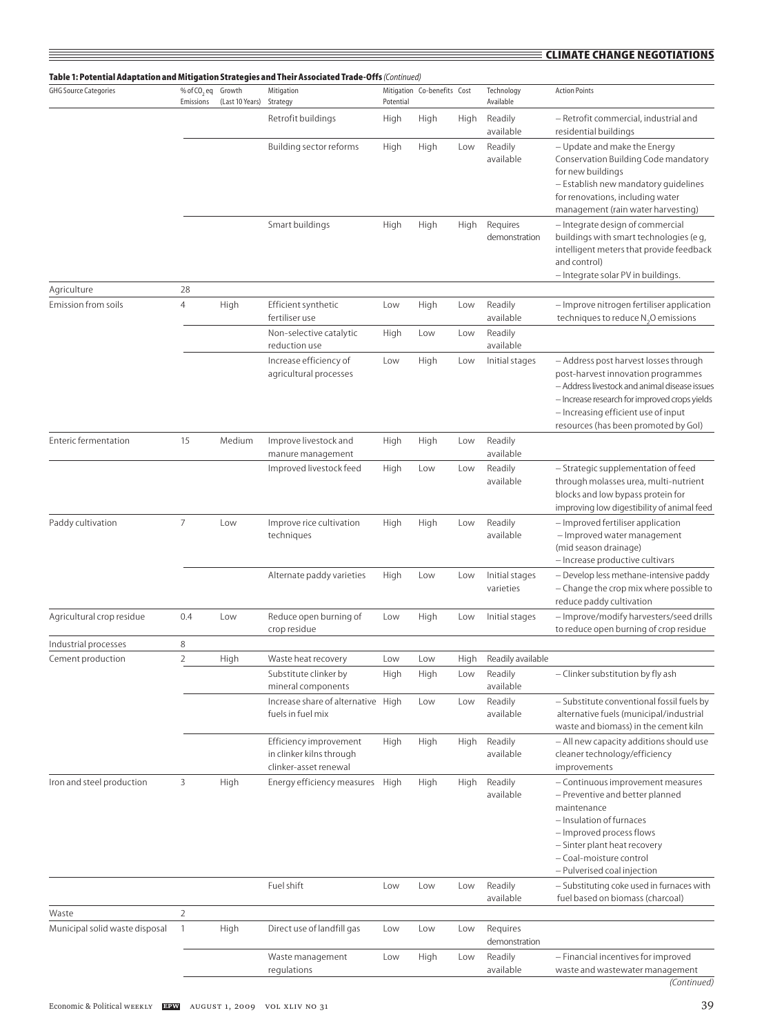## **climate change negotiations**

| Table 1: Potential Adaptation and Mitigation Strategies and Their Associated Trade-Offs (Continued)<br><b>GHG Source Categories</b> | % of CO <sub>2</sub> eq Growth |                 | Mitigation                                                                  |             | Mitigation Co-benefits Cost |                      | Technology                                                                                                                                                      | <b>Action Points</b>                                                                                                                                                                                                                                         |
|-------------------------------------------------------------------------------------------------------------------------------------|--------------------------------|-----------------|-----------------------------------------------------------------------------|-------------|-----------------------------|----------------------|-----------------------------------------------------------------------------------------------------------------------------------------------------------------|--------------------------------------------------------------------------------------------------------------------------------------------------------------------------------------------------------------------------------------------------------------|
|                                                                                                                                     | Emissions                      | (Last 10 Years) | Strategy                                                                    | Potential   |                             |                      | Available                                                                                                                                                       |                                                                                                                                                                                                                                                              |
|                                                                                                                                     |                                |                 | Retrofit buildings                                                          | High        | High                        | High                 | Readily<br>available                                                                                                                                            | - Retrofit commercial, industrial and<br>residential buildings                                                                                                                                                                                               |
|                                                                                                                                     |                                |                 | Building sector reforms                                                     | High        | High                        | Low                  | Readily<br>available                                                                                                                                            | - Update and make the Energy<br>Conservation Building Code mandatory<br>for new buildings<br>- Establish new mandatory guidelines<br>for renovations, including water<br>management (rain water harvesting)                                                  |
|                                                                                                                                     |                                |                 | Smart buildings                                                             | High        | High                        | High                 | Requires<br>demonstration                                                                                                                                       | - Integrate design of commercial<br>buildings with smart technologies (e g,<br>intelligent meters that provide feedback<br>and control)<br>- Integrate solar PV in buildings.                                                                                |
| Agriculture                                                                                                                         | 28                             |                 |                                                                             |             |                             |                      |                                                                                                                                                                 |                                                                                                                                                                                                                                                              |
| Emission from soils                                                                                                                 | $\overline{4}$                 | High            | Efficient synthetic<br>fertiliser use                                       | Low         | High                        | Low                  | Readily<br>available                                                                                                                                            | - Improve nitrogen fertiliser application<br>techniques to reduce N <sub>2</sub> O emissions                                                                                                                                                                 |
|                                                                                                                                     |                                |                 | Non-selective catalytic<br>reduction use                                    | High        | Low                         | Low                  | Readily<br>available                                                                                                                                            |                                                                                                                                                                                                                                                              |
|                                                                                                                                     |                                |                 | Increase efficiency of<br>agricultural processes                            | Low         | High                        | Low                  | Initial stages                                                                                                                                                  | - Address post harvest losses through<br>post-harvest innovation programmes<br>- Address livestock and animal disease issues<br>- Increase research for improved crops yields<br>- Increasing efficient use of input<br>resources (has been promoted by Gol) |
| <b>Enteric fermentation</b>                                                                                                         | 15                             | Medium          | Improve livestock and<br>manure management                                  | High        | High                        | Low                  | Readily<br>available                                                                                                                                            |                                                                                                                                                                                                                                                              |
|                                                                                                                                     |                                |                 | Improved livestock feed<br>High<br>Low<br>Low                               |             |                             | Readily<br>available | - Strategic supplementation of feed<br>through molasses urea, multi-nutrient<br>blocks and low bypass protein for<br>improving low digestibility of animal feed |                                                                                                                                                                                                                                                              |
| Paddy cultivation                                                                                                                   | 7                              | Low             | Improve rice cultivation<br>techniques                                      | High        | High                        | Low                  | Readily<br>available                                                                                                                                            | - Improved fertiliser application<br>- Improved water management<br>(mid season drainage)<br>- Increase productive cultivars                                                                                                                                 |
|                                                                                                                                     |                                |                 | Alternate paddy varieties                                                   | High        | Low                         | Low                  | Initial stages<br>varieties                                                                                                                                     | - Develop less methane-intensive paddy<br>- Change the crop mix where possible to<br>reduce paddy cultivation                                                                                                                                                |
| Agricultural crop residue                                                                                                           | 0.4                            | Low             | Reduce open burning of<br>crop residue                                      | Low         | High                        | Low                  | Initial stages                                                                                                                                                  | - Improve/modify harvesters/seed drills<br>to reduce open burning of crop residue                                                                                                                                                                            |
| Industrial processes                                                                                                                | 8                              |                 |                                                                             |             |                             |                      |                                                                                                                                                                 |                                                                                                                                                                                                                                                              |
| Cement production                                                                                                                   | $\overline{2}$                 | High            | Waste heat recovery<br>Substitute clinker by<br>mineral components          | Low<br>High | Low<br>High                 | High<br>Low          | Readily available<br>Readily<br>available                                                                                                                       | - Clinker substitution by fly ash                                                                                                                                                                                                                            |
|                                                                                                                                     |                                |                 | Increase share of alternative High<br>fuels in fuel mix                     |             | Low                         | Low                  | Readily<br>available                                                                                                                                            | - Substitute conventional fossil fuels by<br>alternative fuels (municipal/industrial<br>waste and biomass) in the cement kiln                                                                                                                                |
|                                                                                                                                     |                                |                 | Efficiency improvement<br>in clinker kilns through<br>clinker-asset renewal | High        | High                        | High                 | Readily<br>available                                                                                                                                            | - All new capacity additions should use<br>cleaner technology/efficiency<br>improvements                                                                                                                                                                     |
| Iron and steel production                                                                                                           | $\overline{3}$                 | High            | Energy efficiency measures                                                  | High        | High                        | High                 | Readily<br>available                                                                                                                                            | - Continuous improvement measures<br>- Preventive and better planned<br>maintenance<br>- Insulation of furnaces<br>- Improved process flows<br>- Sinter plant heat recovery<br>- Coal-moisture control<br>- Pulverised coal injection                        |
|                                                                                                                                     |                                |                 | Fuel shift                                                                  | Low         | Low                         | Low                  | Readily<br>available                                                                                                                                            | - Substituting coke used in furnaces with<br>fuel based on biomass (charcoal)                                                                                                                                                                                |
| Waste                                                                                                                               | $\overline{2}$                 |                 |                                                                             |             |                             |                      |                                                                                                                                                                 |                                                                                                                                                                                                                                                              |
| Municipal solid waste disposal                                                                                                      | $\mathbf{1}$                   | High            | Direct use of landfill gas                                                  | Low         | Low                         | Low                  | Requires<br>demonstration                                                                                                                                       |                                                                                                                                                                                                                                                              |
|                                                                                                                                     |                                |                 | Waste management<br>regulations                                             | Low         | High                        | Low                  | Readily<br>available                                                                                                                                            | - Financial incentives for improved<br>waste and wastewater management<br>(Continued)                                                                                                                                                                        |

≣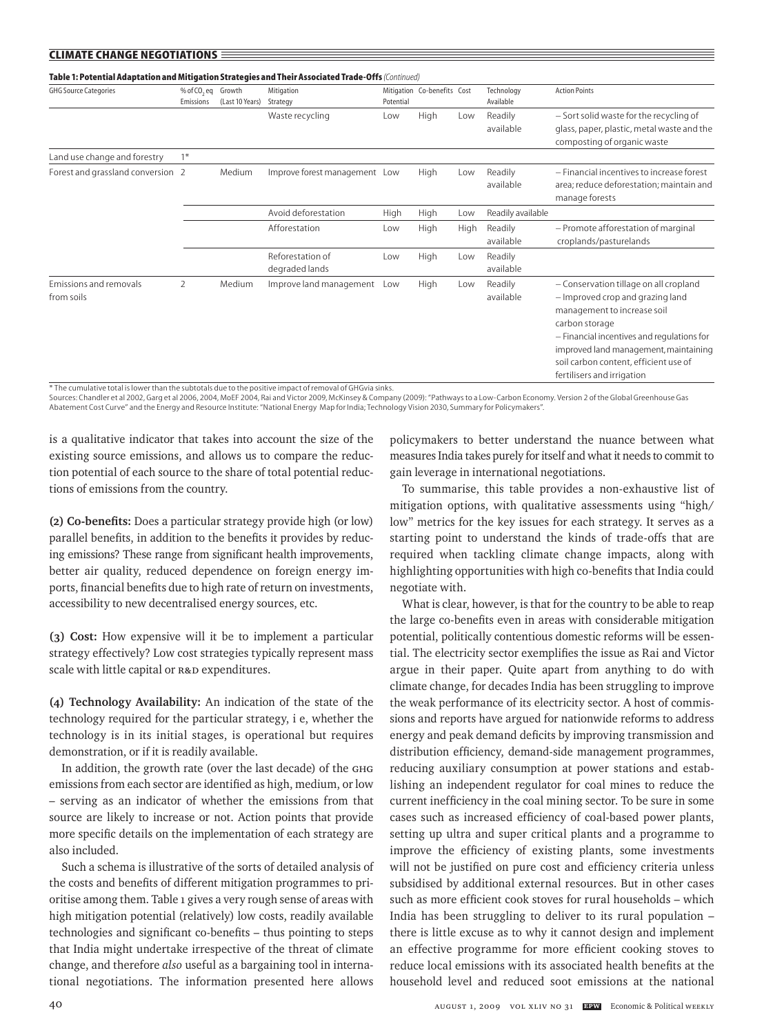| Table 1: Potential Adaptation and Mitigation Strategies and Their Associated Trade-Offs (Continued)<br><b>GHG Source Categories</b> | % of CO <sub>2</sub> eq Growth |                 | Mitigation                         |           | Mitigation Co-benefits Cost |      | Technology           | <b>Action Points</b>                                                                                                                                                                                                                                                                      |
|-------------------------------------------------------------------------------------------------------------------------------------|--------------------------------|-----------------|------------------------------------|-----------|-----------------------------|------|----------------------|-------------------------------------------------------------------------------------------------------------------------------------------------------------------------------------------------------------------------------------------------------------------------------------------|
|                                                                                                                                     | Emissions                      | (Last 10 Years) | Strategy                           | Potential |                             |      | Available            |                                                                                                                                                                                                                                                                                           |
|                                                                                                                                     |                                |                 | Waste recycling                    | Low       | High                        | Low  | Readily              | - Sort solid waste for the recycling of                                                                                                                                                                                                                                                   |
|                                                                                                                                     |                                |                 |                                    |           |                             |      | available            | glass, paper, plastic, metal waste and the<br>composting of organic waste                                                                                                                                                                                                                 |
| Land use change and forestry                                                                                                        | $1*$                           |                 |                                    |           |                             |      |                      |                                                                                                                                                                                                                                                                                           |
| Forest and grassland conversion 2                                                                                                   |                                | Medium          | Improve forest management Low      |           | High                        | Low  | Readily<br>available | - Financial incentives to increase forest<br>area; reduce deforestation; maintain and<br>manage forests                                                                                                                                                                                   |
|                                                                                                                                     |                                |                 | Avoid deforestation                | High      | High                        | Low  | Readily available    |                                                                                                                                                                                                                                                                                           |
|                                                                                                                                     |                                |                 | Afforestation                      | Low       | High                        | High | Readily<br>available | - Promote afforestation of marginal<br>croplands/pasturelands                                                                                                                                                                                                                             |
|                                                                                                                                     |                                |                 | Reforestation of<br>degraded lands | Low       | High                        | Low  | Readily<br>available |                                                                                                                                                                                                                                                                                           |
| <b>Emissions and removals</b><br>from soils                                                                                         | $\overline{\phantom{a}}$       | Medium          | Improve land management            | Low       | High                        | Low  | Readily<br>available | - Conservation tillage on all cropland<br>- Improved crop and grazing land<br>management to increase soil<br>carbon storage<br>- Financial incentives and regulations for<br>improved land management, maintaining<br>soil carbon content, efficient use of<br>fertilisers and irrigation |

\* The cumulative total is lower than the subtotals due to the positive impact of removal of GHGvia sinks.<br>Sources: Chandler et al 2002, Garg et al 2006, 2004, MoEF 2004, Rai and Victor 2009, McKinsey & Company (2009): "Pat Abatement Cost Curve" and the Energy and Resource Institute: "National Energy Map for India; Technology Vision 2030, Summary for Policymakers".

is a qualitative indicator that takes into account the size of the existing source emissions, and allows us to compare the reduction potential of each source to the share of total potential reductions of emissions from the country.

**(2) Co-benefits:** Does a particular strategy provide high (or low) parallel benefits, in addition to the benefits it provides by reducing emissions? These range from significant health improvements, better air quality, reduced dependence on foreign energy imports, financial benefits due to high rate of return on investments, accessibility to new decentralised energy sources, etc.

**(3) Cost:** How expensive will it be to implement a particular strategy effectively? Low cost strategies typically represent mass scale with little capital or R&D expenditures.

**(4) Technology Availability:** An indication of the state of the technology required for the particular strategy, i e, whether the technology is in its initial stages, is operational but requires demonstration, or if it is readily available.

In addition, the growth rate (over the last decade) of the GHG emissions from each sector are identified as high, medium, or low – serving as an indicator of whether the emissions from that source are likely to increase or not. Action points that provide more specific details on the implementation of each strategy are also included.

Such a schema is illustrative of the sorts of detailed analysis of the costs and benefits of different mitigation programmes to prioritise among them. Table 1 gives a very rough sense of areas with high mitigation potential (relatively) low costs, readily available technologies and significant co-benefits – thus pointing to steps that India might undertake irrespective of the threat of climate change, and therefore *also* useful as a bargaining tool in international negotiations. The information presented here allows policymakers to better understand the nuance between what measures India takes purely for itself and what it needs to commit to gain leverage in international negotiations.

To summarise, this table provides a non-exhaustive list of mitigation options, with qualitative assessments using "high/ low" metrics for the key issues for each strategy. It serves as a starting point to understand the kinds of trade-offs that are required when tackling climate change impacts, along with highlighting opportunities with high co-benefits that India could negotiate with.

What is clear, however, is that for the country to be able to reap the large co-benefits even in areas with considerable mitigation potential, politically contentious domestic reforms will be essential. The electricity sector exemplifies the issue as Rai and Victor argue in their paper. Quite apart from anything to do with climate change, for decades India has been struggling to improve the weak performance of its electricity sector. A host of commissions and reports have argued for nationwide reforms to address energy and peak demand deficits by improving transmission and distribution efficiency, demand-side management programmes, reducing auxiliary consumption at power stations and establishing an independent regulator for coal mines to reduce the current inefficiency in the coal mining sector. To be sure in some cases such as increased efficiency of coal-based power plants, setting up ultra and super critical plants and a programme to improve the efficiency of existing plants, some investments will not be justified on pure cost and efficiency criteria unless subsidised by additional external resources. But in other cases such as more efficient cook stoves for rural households – which India has been struggling to deliver to its rural population – there is little excuse as to why it cannot design and implement an effective programme for more efficient cooking stoves to reduce local emissions with its associated health benefits at the household level and reduced soot emissions at the national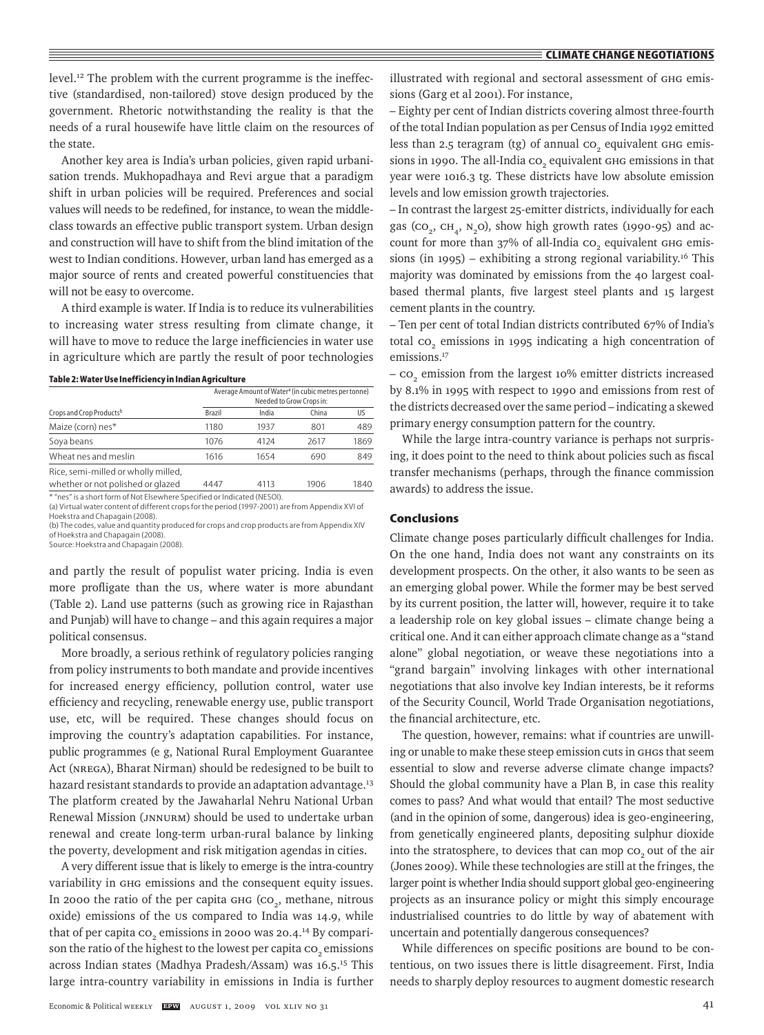level.<sup>12</sup> The problem with the current programme is the ineffective (standardised, non-tailored) stove design produced by the government. Rhetoric notwithstanding the reality is that the needs of a rural housewife have little claim on the resources of the state.

Another key area is India's urban policies, given rapid urbanisation trends. Mukhopadhaya and Revi argue that a paradigm shift in urban policies will be required. Preferences and social values will needs to be redefined, for instance, to wean the middleclass towards an effective public transport system. Urban design and construction will have to shift from the blind imitation of the west to Indian conditions. However, urban land has emerged as a major source of rents and created powerful constituencies that will not be easy to overcome.

A third example is water. If India is to reduce its vulnerabilities to increasing water stress resulting from climate change, it will have to move to reduce the large inefficiencies in water use in agriculture which are partly the result of poor technologies

|  |  | Table 2: Water Use Inefficiency in Indian Agriculture |
|--|--|-------------------------------------------------------|
|--|--|-------------------------------------------------------|

|                                                                          | Average Amount of Water <sup>a</sup> (in cubic metres per tonne)<br>Needed to Grow Crops in: |       |       |      |  |  |  |
|--------------------------------------------------------------------------|----------------------------------------------------------------------------------------------|-------|-------|------|--|--|--|
| Crops and Crop Productsb                                                 | <b>Brazil</b>                                                                                | India | China | US   |  |  |  |
| Maize (corn) nes*                                                        | 1180                                                                                         | 1937  | 801   | 489  |  |  |  |
| Soya beans                                                               | 1076                                                                                         | 4124  | 2617  | 1869 |  |  |  |
| Wheat nes and meslin                                                     | 1616                                                                                         | 1654  | 690   | 849  |  |  |  |
| Rice, semi-milled or wholly milled,<br>whether or not polished or glazed | 4447                                                                                         | 4113  | 1906  | 1840 |  |  |  |

"nes" is a short form of Not Elsewhere Specified or Indicated (NESOI). (a) Virtual water content of different crops for the period (1997-2001) are from Appendix XVI of

Hoekstra and Chapagain (2008). (b) The codes, value and quantity produced for crops and crop products are from Appendix XIV

of Hoekstra and Chapagain (2008).

Source: Hoekstra and Chapagain (2008).

and partly the result of populist water pricing. India is even more profligate than the US, where water is more abundant (Table 2). Land use patterns (such as growing rice in Rajasthan and Punjab) will have to change – and this again requires a major political consensus.

More broadly, a serious rethink of regulatory policies ranging from policy instruments to both mandate and provide incentives for increased energy efficiency, pollution control, water use efficiency and recycling, renewable energy use, public transport use, etc, will be required. These changes should focus on improving the country's adaptation capabilities. For instance, public programmes (e g, National Rural Employment Guarantee Act (NREGA), Bharat Nirman) should be redesigned to be built to hazard resistant standards to provide an adaptation advantage.<sup>13</sup> The platform created by the Jawaharlal Nehru National Urban Renewal Mission (JNNURM) should be used to undertake urban renewal and create long-term urban-rural balance by linking the poverty, development and risk mitigation agendas in cities.

A very different issue that is likely to emerge is the intra-country variability in GHG emissions and the consequent equity issues. In 2000 the ratio of the per capita  $G_H$  ( $CO<sub>2</sub>$ , methane, nitrous oxide) emissions of the us compared to India was 14.9, while that of per capita  $\text{co}_2$  emissions in 2000 was 20.4.<sup>14</sup> By comparison the ratio of the highest to the lowest per capita co<sub>2</sub> emissions across Indian states (Madhya Pradesh/Assam) was 16.5.<sup>15</sup> This large intra-country variability in emissions in India is further illustrated with regional and sectoral assessment of GHG emissions (Garg et al 2001). For instance,

– Eighty per cent of Indian districts covering almost three-fourth of the total Indian population as per Census of India 1992 emitted less than 2.5 teragram (tg) of annual  ${\rm co}_{_2}$  equivalent  ${\rm G}$ н ${\rm G}$  emissions in 1990. The all-India  ${\rm co}_{_2}$  equivalent  ${\rm G}$  emissions in that year were 1016.3 tg. These districts have low absolute emission levels and low emission growth trajectories.

– In contrast the largest 25-emitter districts, individually for each gas ( $co_2$ ,  $CH_2$ ,  $N_2O$ ), show high growth rates (1990-95) and account for more than  $37\%$  of all-India  $\text{co}_2$  equivalent  $\text{G}_{\text{H}}$  emissions (in 1995) – exhibiting a strong regional variability.16 This majority was dominated by emissions from the 40 largest coalbased thermal plants, five largest steel plants and 15 largest cement plants in the country.

– Ten per cent of total Indian districts contributed 67% of India's total  ${\rm co}_2$  emissions in 1995 indicating a high concentration of emissions.<sup>17</sup>

–  $\text{co}_2$  emission from the largest 10% emitter districts increased by 8.1% in 1995 with respect to 1990 and emissions from rest of the districts decreased over the same period – indicating a skewed primary energy consumption pattern for the country.

While the large intra-country variance is perhaps not surprising, it does point to the need to think about policies such as fiscal transfer mechanisms (perhaps, through the finance commission awards) to address the issue.

## **Conclusions**

Climate change poses particularly difficult challenges for India. On the one hand, India does not want any constraints on its development prospects. On the other, it also wants to be seen as an emerging global power. While the former may be best served by its current position, the latter will, however, require it to take a leadership role on key global issues – climate change being a critical one. And it can either approach climate change as a "stand alone" global negotiation, or weave these negotiations into a "grand bargain" involving linkages with other international negotiations that also involve key Indian interests, be it reforms of the Security Council, World Trade Organisation negotiations, the financial architecture, etc.

The question, however, remains: what if countries are unwilling or unable to make these steep emission cuts in GHGs that seem essential to slow and reverse adverse climate change impacts? Should the global community have a Plan B, in case this reality comes to pass? And what would that entail? The most seductive (and in the opinion of some, dangerous) idea is geo-engineering, from genetically engineered plants, depositing sulphur dioxide into the stratosphere, to devices that can mop co<sub>2</sub> out of the air (Jones 2009). While these technologies are still at the fringes, the larger point is whether India should support global geo-engineering projects as an insurance policy or might this simply encourage industrialised countries to do little by way of abatement with uncertain and potentially dangerous consequences?

While differences on specific positions are bound to be contentious, on two issues there is little disagreement. First, India needs to sharply deploy resources to augment domestic research